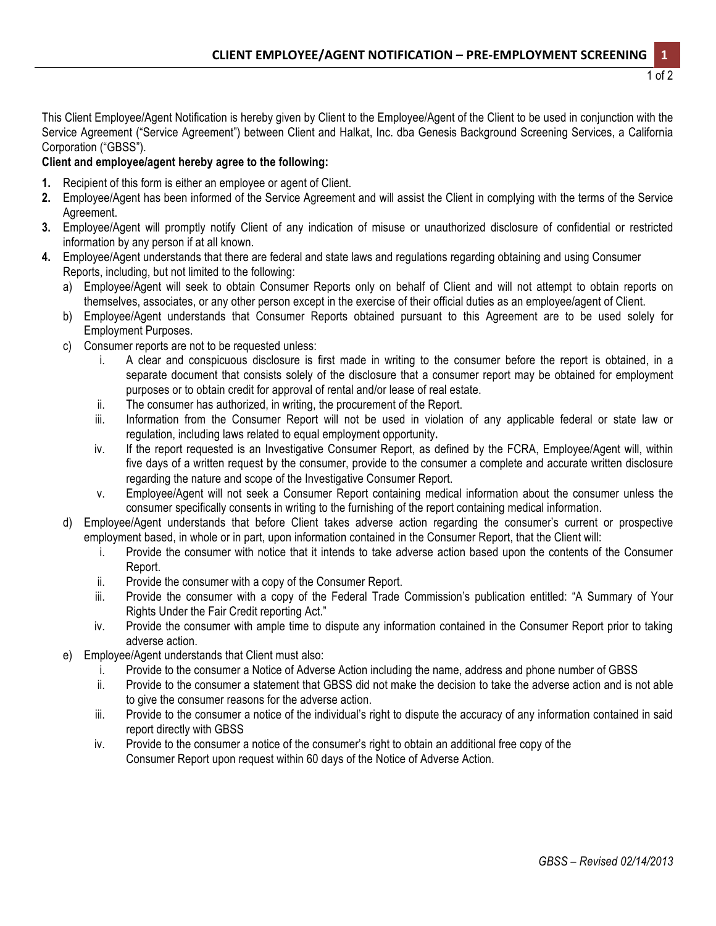This Client Employee/Agent Notification is hereby given by Client to the Employee/Agent of the Client to be used in conjunction with the Service Agreement ("Service Agreement") between Client and Halkat, Inc. dba Genesis Background Screening Services, a California Corporation ("GBSS").

## **Client and employee/agent hereby agree to the following:**

- **1.** Recipient of this form is either an employee or agent of Client.
- **2.** Employee/Agent has been informed of the Service Agreement and will assist the Client in complying with the terms of the Service Agreement.
- **3.** Employee/Agent will promptly notify Client of any indication of misuse or unauthorized disclosure of confidential or restricted information by any person if at all known.
- **4.** Employee/Agent understands that there are federal and state laws and regulations regarding obtaining and using Consumer Reports, including, but not limited to the following:
	- a) Employee/Agent will seek to obtain Consumer Reports only on behalf of Client and will not attempt to obtain reports on themselves, associates, or any other person except in the exercise of their official duties as an employee/agent of Client.
	- b) Employee/Agent understands that Consumer Reports obtained pursuant to this Agreement are to be used solely for Employment Purposes.
	- c) Consumer reports are not to be requested unless:
		- i. A clear and conspicuous disclosure is first made in writing to the consumer before the report is obtained, in a separate document that consists solely of the disclosure that a consumer report may be obtained for employment purposes or to obtain credit for approval of rental and/or lease of real estate.
		- ii. The consumer has authorized, in writing, the procurement of the Report.
		- iii. Information from the Consumer Report will not be used in violation of any applicable federal or state law or regulation, including laws related to equal employment opportunity**.**
		- iv. If the report requested is an Investigative Consumer Report, as defined by the FCRA, Employee/Agent will, within five days of a written request by the consumer, provide to the consumer a complete and accurate written disclosure regarding the nature and scope of the Investigative Consumer Report.
		- v. Employee/Agent will not seek a Consumer Report containing medical information about the consumer unless the consumer specifically consents in writing to the furnishing of the report containing medical information.
	- d) Employee/Agent understands that before Client takes adverse action regarding the consumer's current or prospective employment based, in whole or in part, upon information contained in the Consumer Report, that the Client will:
		- i. Provide the consumer with notice that it intends to take adverse action based upon the contents of the Consumer Report.
		- ii. Provide the consumer with a copy of the Consumer Report.
		- iii. Provide the consumer with a copy of the Federal Trade Commission's publication entitled: "A Summary of Your Rights Under the Fair Credit reporting Act."
		- iv. Provide the consumer with ample time to dispute any information contained in the Consumer Report prior to taking adverse action.
	- e) Employee/Agent understands that Client must also:
		- i. Provide to the consumer a Notice of Adverse Action including the name, address and phone number of GBSS
		- ii. Provide to the consumer a statement that GBSS did not make the decision to take the adverse action and is not able to give the consumer reasons for the adverse action.
		- iii. Provide to the consumer a notice of the individual's right to dispute the accuracy of any information contained in said report directly with GBSS
		- iv. Provide to the consumer a notice of the consumer's right to obtain an additional free copy of the Consumer Report upon request within 60 days of the Notice of Adverse Action.